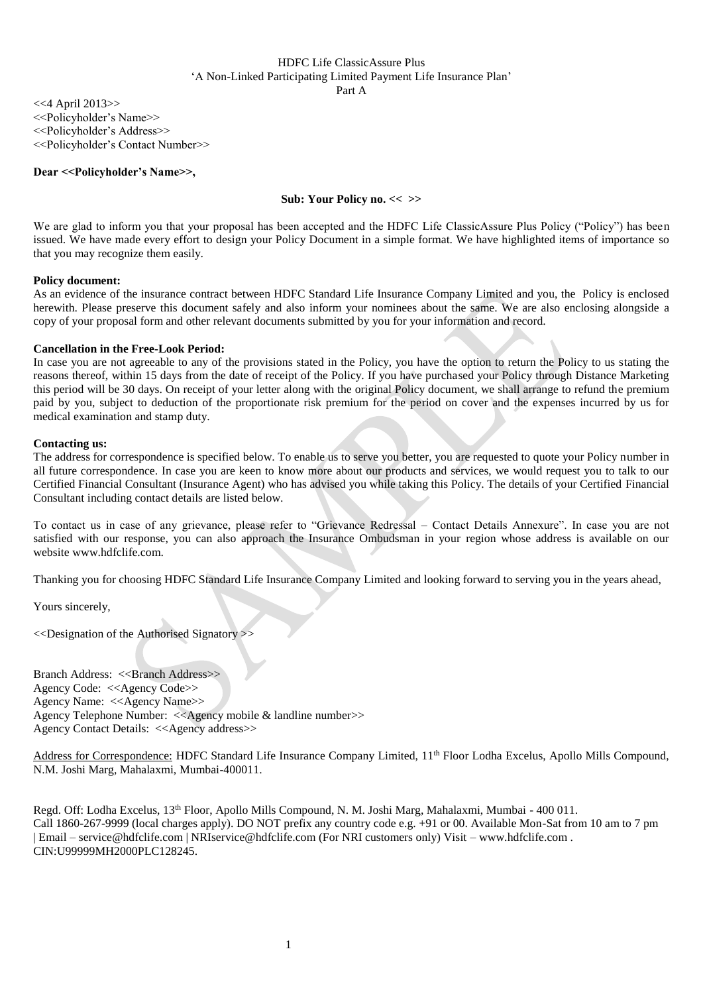Part A

<<4 April 2013>> <<Policyholder's Name>> <<Policyholder's Address>> <<Policyholder's Contact Number>>

## **Dear <<Policyholder's Name>>,**

## **Sub: Your Policy no. << >>**

We are glad to inform you that your proposal has been accepted and the HDFC Life ClassicAssure Plus Policy ("Policy") has been issued. We have made every effort to design your Policy Document in a simple format. We have highlighted items of importance so that you may recognize them easily.

## **Policy document:**

As an evidence of the insurance contract between HDFC Standard Life Insurance Company Limited and you, the Policy is enclosed herewith. Please preserve this document safely and also inform your nominees about the same. We are also enclosing alongside a copy of your proposal form and other relevant documents submitted by you for your information and record.

## **Cancellation in the Free-Look Period:**

In case you are not agreeable to any of the provisions stated in the Policy, you have the option to return the Policy to us stating the reasons thereof, within 15 days from the date of receipt of the Policy. If you have purchased your Policy through Distance Marketing this period will be 30 days. On receipt of your letter along with the original Policy document, we shall arrange to refund the premium paid by you, subject to deduction of the proportionate risk premium for the period on cover and the expenses incurred by us for medical examination and stamp duty.

## **Contacting us:**

The address for correspondence is specified below. To enable us to serve you better, you are requested to quote your Policy number in all future correspondence. In case you are keen to know more about our products and services, we would request you to talk to our Certified Financial Consultant (Insurance Agent) who has advised you while taking this Policy. The details of your Certified Financial Consultant including contact details are listed below.

To contact us in case of any grievance, please refer to "Grievance Redressal – Contact Details Annexure". In case you are not satisfied with our response, you can also approach the Insurance Ombudsman in your region whose address is available on our website www.hdfclife.com.

Thanking you for choosing HDFC Standard Life Insurance Company Limited and looking forward to serving you in the years ahead,

Yours sincerely,

<<Designation of the Authorised Signatory >>

Branch Address: <<Br/>SBranch Address>> Agency Code: <<Agency Code>> Agency Name: <<Agency Name>> Agency Telephone Number: <<Agency mobile & landline number>> Agency Contact Details: <<Agency address>>

Address for Correspondence: HDFC Standard Life Insurance Company Limited, 11<sup>th</sup> Floor Lodha Excelus, Apollo Mills Compound, N.M. Joshi Marg, Mahalaxmi, Mumbai-400011.

Regd. Off: Lodha Excelus, 13<sup>th</sup> Floor, Apollo Mills Compound, N. M. Joshi Marg, Mahalaxmi, Mumbai - 400 011. Call 1860-267-9999 (local charges apply). DO NOT prefix any country code e.g. +91 or 00. Available Mon-Sat from 10 am to 7 pm | Email – service@hdfclife.com | NRIservice@hdfclife.com (For NRI customers only) Visit – [www.hdfclife.com](http://www.hdfclife.com/) . CIN:U99999MH2000PLC128245.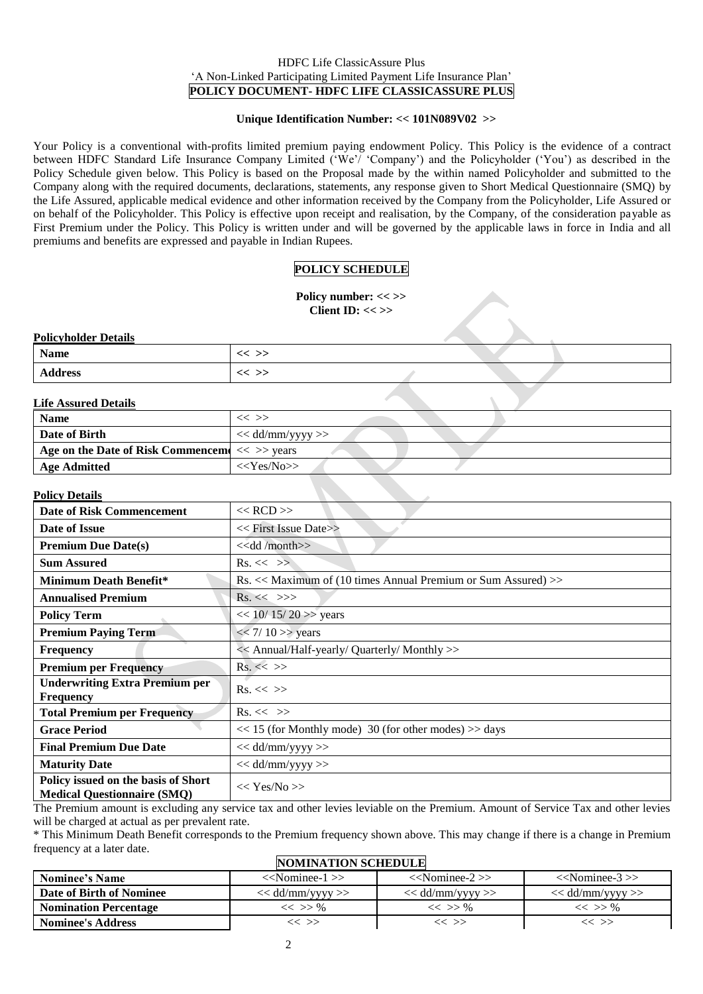## HDFC Life ClassicAssure Plus 'A Non-Linked Participating Limited Payment Life Insurance Plan' **POLICY DOCUMENT- HDFC LIFE CLASSICASSURE PLUS**

## **Unique Identification Number: << 101N089V02 >>**

Your Policy is a conventional with-profits limited premium paying endowment Policy. This Policy is the evidence of a contract between HDFC Standard Life Insurance Company Limited ('We'/ 'Company') and the Policyholder ('You') as described in the Policy Schedule given below. This Policy is based on the Proposal made by the within named Policyholder and submitted to the Company along with the required documents, declarations, statements, any response given to Short Medical Questionnaire (SMQ) by the Life Assured, applicable medical evidence and other information received by the Company from the Policyholder, Life Assured or on behalf of the Policyholder. This Policy is effective upon receipt and realisation, by the Company, of the consideration payable as First Premium under the Policy. This Policy is written under and will be governed by the applicable laws in force in India and all premiums and benefits are expressed and payable in Indian Rupees.

# **POLICY SCHEDULE**

**Policy number: << >> Client ID: << >>**

## **Policyholder Details**

| T QUEVILORUEL D'Étaille |         |  |  |
|-------------------------|---------|--|--|
| <b>Name</b>             | $<<$ >> |  |  |
| <b>Address</b>          | $<<$ >> |  |  |
|                         |         |  |  |

# **Life Assured Details**

| пистоватся генив                                 |                    |
|--------------------------------------------------|--------------------|
| <b>Name</b>                                      | $<<$ $>>$          |
| Date of Birth                                    | $<<$ dd/mm/yyyy >> |
| Age on the Date of Risk Commencem $\ll$ >> years |                    |
| <b>Age Admitted</b>                              | $<<$ Yes/No>>      |

## **Policy Details**

| і унсу ілсіанэ                                                            |                                                                          |  |
|---------------------------------------------------------------------------|--------------------------------------------------------------------------|--|
| <b>Date of Risk Commencement</b>                                          | $<<$ RCD $>>$                                                            |  |
| Date of Issue                                                             | $<<$ First Issue Date>>                                                  |  |
| <b>Premium Due Date(s)</b>                                                | $<<$ dd /month $>>$                                                      |  |
| <b>Sum Assured</b>                                                        | $Rs. \ll \gg$                                                            |  |
| <b>Minimum Death Benefit*</b>                                             | $\text{Rs.} <<$ Maximum of (10 times Annual Premium or Sum Assured) $>>$ |  |
| <b>Annualised Premium</b>                                                 | $Rs. \ll \gg>$                                                           |  |
| <b>Policy Term</b>                                                        | $<< 10/15/20$ >> years                                                   |  |
| <b>Premium Paying Term</b>                                                | $<< 7/10$ >> years                                                       |  |
| <b>Frequency</b>                                                          | << Annual/Half-yearly/ Quarterly/ Monthly >>                             |  |
| <b>Premium per Frequency</b>                                              | $Rs. \ll \gg$                                                            |  |
| <b>Underwriting Extra Premium per</b><br><b>Frequency</b>                 | $\operatorname{Rs.}<<\gg$                                                |  |
| <b>Total Premium per Frequency</b>                                        | $Rs. \ll \gg$                                                            |  |
| <b>Grace Period</b>                                                       | $<< 15$ (for Monthly mode) 30 (for other modes) $>>$ days                |  |
| <b>Final Premium Due Date</b>                                             | $<<$ dd/mm/yyyy >>                                                       |  |
| <b>Maturity Date</b>                                                      | $<<$ dd/mm/yyyy >>                                                       |  |
| Policy issued on the basis of Short<br><b>Medical Questionnaire (SMQ)</b> | $<<$ Yes/No >>                                                           |  |

The Premium amount is excluding any service tax and other levies leviable on the Premium. Amount of Service Tax and other levies will be charged at actual as per prevalent rate.

\* This Minimum Death Benefit corresponds to the Premium frequency shown above. This may change if there is a change in Premium frequency at a later date.

# **NOMINATION SCHEDULE**

| <b>AVARDA LIQA DULLOULD</b>     |                      |                      |                      |  |  |
|---------------------------------|----------------------|----------------------|----------------------|--|--|
| Nominee's Name                  | $<<$ Nominee-1 $>>$  | $<<$ Nominee-2 $>>$  | $<<$ Nominee-3 $>>$  |  |  |
| <b>Date of Birth of Nominee</b> | $<<$ dd/mm/yyyy $>>$ | $<<$ dd/mm/vyyy $>>$ | $<<$ dd/mm/vvvv $>>$ |  |  |
| Nomination Percentage           | $<<$ >> %            | $<<$ >> %            | $<<$ >> %            |  |  |
| Nominee's Address               | ′< >>                |                      | ′< >>                |  |  |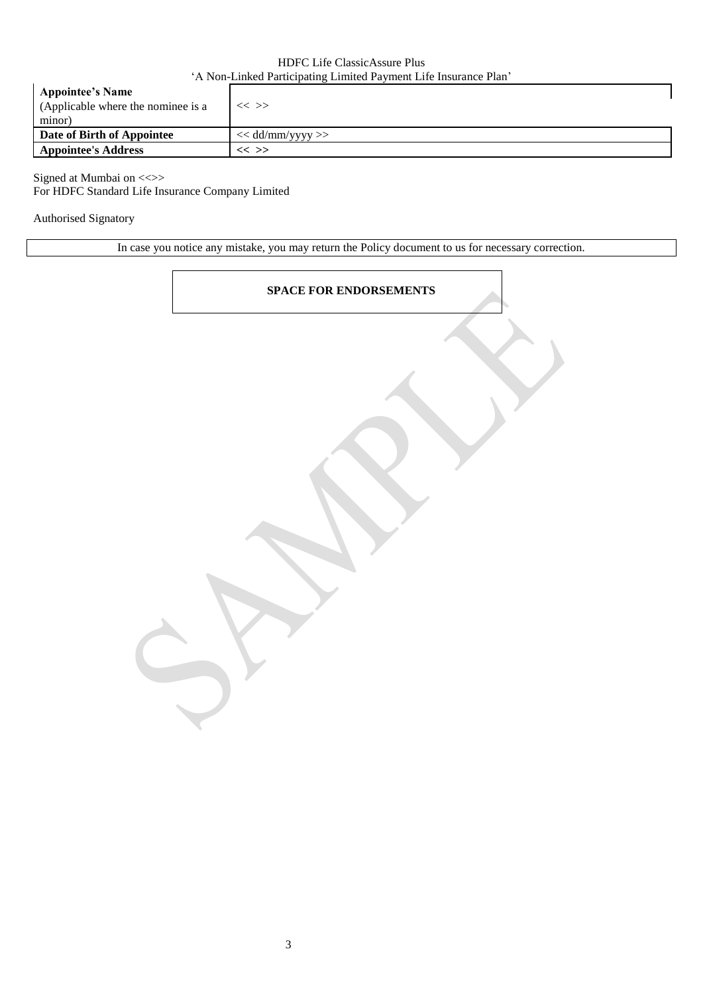| <b>Appointee's Name</b><br>(Applicable where the nominee is a<br>minor) | $\ll$ $>>$         |
|-------------------------------------------------------------------------|--------------------|
| Date of Birth of Appointee                                              | $<<$ dd/mm/yyyy >> |
| <b>Appointee's Address</b>                                              | $<<$ >>            |
|                                                                         |                    |

Signed at Mumbai on  $\ll\gg$ For HDFC Standard Life Insurance Company Limited

Authorised Signatory

In case you notice any mistake, you may return the Policy document to us for necessary correction.

# **SPACE FOR ENDORSEMENTS**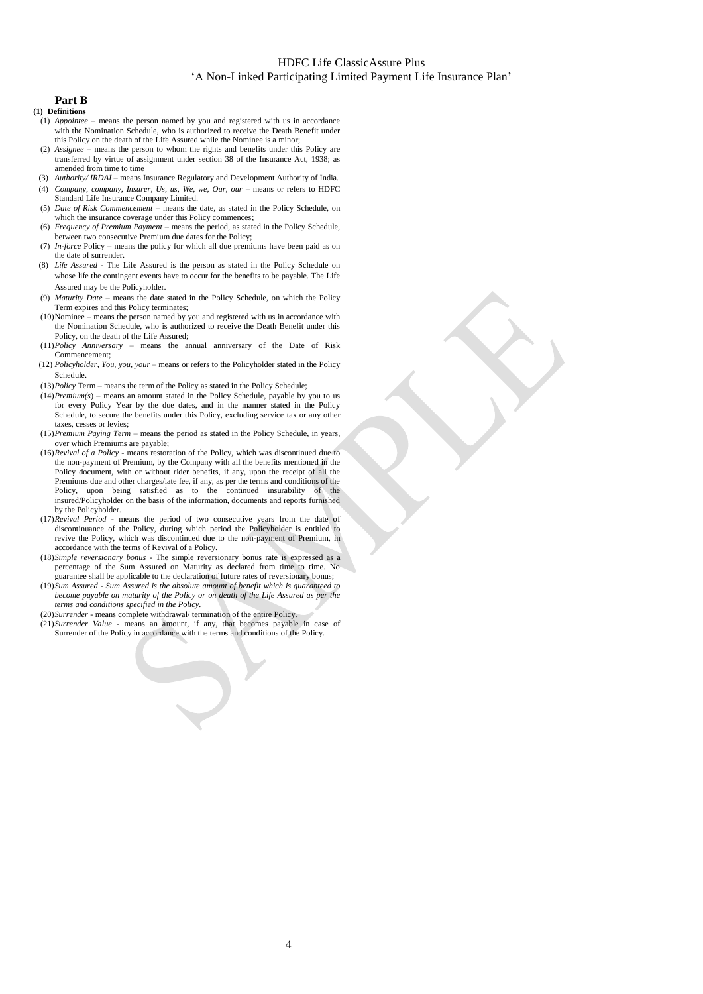# **Part B**

- **(1) Definitions**
	- (1) *Appointee* means the person named by you and registered with us in accordance with the Nomination Schedule, who is authorized to receive the Death Benefit under this Policy on the death of the Life Assured while the Nominee is a minor;
	- (2) *Assignee* means the person to whom the rights and benefits under this Policy are transferred by virtue of assignment under section 38 of the Insurance Act, 1938; as amended from time to time
- (3) *Authority/ IRDAI* means Insurance Regulatory and Development Authority of India.
- (4) *Company, company, Insurer, Us, us, We, we, Our, our* means or refers to HDFC Standard Life Insurance Company Limited.
- (5) *Date of Risk Commencement*  means the date, as stated in the Policy Schedule, on which the insurance coverage under this Policy commences;
- (6) *Frequency of Premium Payment*  means the period, as stated in the Policy Schedule, between two consecutive Premium due dates for the Policy;
- (7) *In-force* Policy means the policy for which all due premiums have been paid as on the date of surrender.
- (8) *Life Assured*  The Life Assured is the person as stated in the Policy Schedule on whose life the contingent events have to occur for the benefits to be payable. The Life Assured may be the Policyholder.
- (9) *Maturity Date*  means the date stated in the Policy Schedule, on which the Policy Term expires and this Policy terminates;
- (10)Nominee means the person named by you and registered with us in accordance with the Nomination Schedule, who is authorized to receive the Death Benefit under this Policy, on the death of the Life Assured;
- (11)*Policy Anniversary*  means the annual anniversary of the Date of Risk Commencement;
- (12) *Policyholder, You, you, your*  means or refers to the Policyholder stated in the Policy Schedule.
- (13)*Policy* Term means the term of the Policy as stated in the Policy Schedule;
- $(14)$ *Premium(s)* means an amount stated in the Policy Schedule, payable by you to us for every Policy Year by the due dates, and in the manner stated in the Policy Schedule, to secure the benefits under this Policy, excluding service tax or any other taxes, cesses or levies;
- (15)*Premium Paying Term*  means the period as stated in the Policy Schedule, in years, over which Premiums are payable;
- (16)*Revival of a Policy*  means restoration of the Policy, which was discontinued due to the non-payment of Premium, by the Company with all the benefits mentioned in the Policy document, with or without rider benefits, if any, upon the receipt of all the Premiums due and other charges/late fee, if any, as per the terms and conditions of the Policy, upon being satisfied as to the continued insurability of the insured/Policyholder on the basis of the information, documents and reports furnished by the Policyholder.
- (17)*Revival Period*  means the period of two consecutive years from the date of discontinuance of the Policy, during which period the Policyholder is entitled to revive the Policy, which was discontinued due to the non-payment of Premium, in accordance with the terms of Revival of a Policy.
- (18)*Simple reversionary bonus*  The simple reversionary bonus rate is expressed as a percentage of the Sum Assured on Maturity as declared from time to time. No guarantee shall be applicable to the declaration of future rates of reversionary bonus;
- (19)*Sum Assured - Sum Assured is the absolute amount of benefit which is guaranteed to become payable on maturity of the Policy or on death of the Life Assured as per the terms and conditions specified in the Policy.*
- (20)*Surrender*  means complete withdrawal/ termination of the entire Policy.
- (21)*Surrender Value*  means an amount, if any, that becomes payable in case of Surrender of the Policy in accordance with the terms and conditions of the Policy.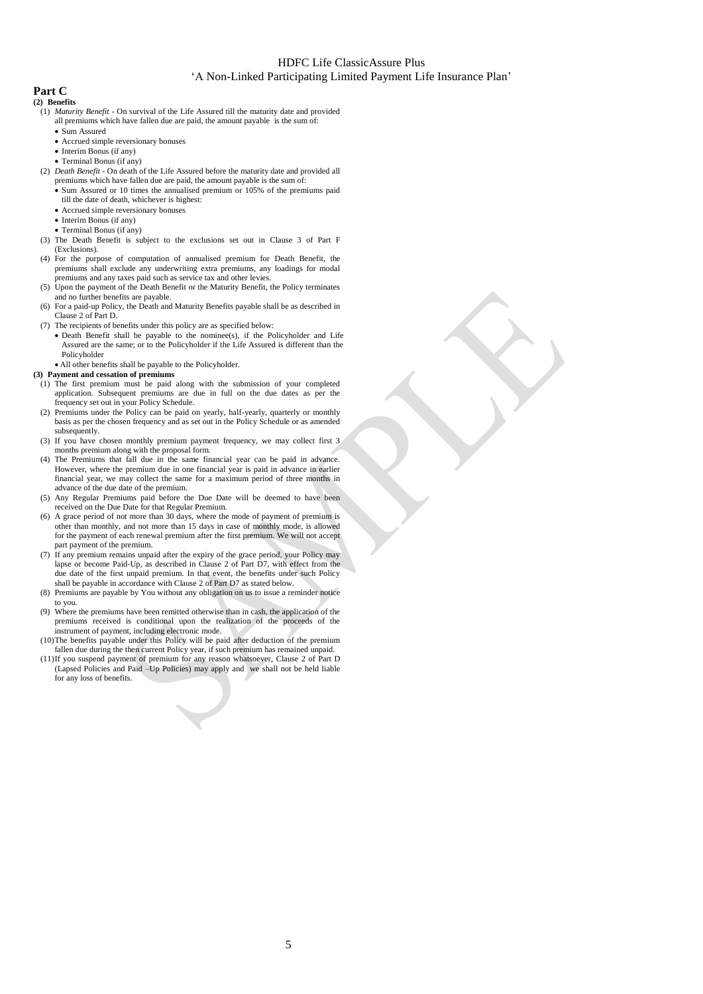# **Part C**

- **(2) Benefits** (1) *Maturity Benefit* - On survival of the Life Assured till the maturity date and provided all premiums which have fallen due are paid, the amount payable is the sum of:
	- Sum Assured
	-
	- Accrued simple reversionary bonuses • Interim Bonus (if any)
	- Terminal Bonus (if any)
	- (2) *Death Benefit* On death of the Life Assured before the maturity date and provided all premiums which have fallen due are paid, the amount payable is the sum of:
		- Sum Assured or 10 times the annualised premium or 105% of the premiums paid till the date of death, whichever is highest:
		- Accrued simple reversionary bonuses
		- Interim Bonus (if any)
		- Terminal Bonus (if any)
	- (3) The Death Benefit is subject to the exclusions set out in Clause 3 of Part F (Exclusions).
	- (4) For the purpose of computation of annualised premium for Death Benefit, the premiums shall exclude any underwriting extra premiums, any loadings for modal premiums and any taxes paid such as service tax and other levies.
	- (5) Upon the payment of the Death Benefit or the Maturity Benefit, the Policy terminates and no further benefits are payable.
	- (6) For a paid-up Policy, the Death and Maturity Benefits payable shall be as described in Clause 2 of Part D.
	- (7) The recipients of benefits under this policy are as specified below: • Death Benefit shall be payable to the nominee(s), if the Policyholder and Life Assured are the same; or to the Policyholder if the Life Assured is different than the Policyholder
		- All other benefits shall be payable to the Policyholder.

#### **(3) Payment and cessation of premiums**

- (1) The first premium must be paid along with the submission of your completed application. Subsequent premiums are due in full on the due dates as per the frequency set out in your Policy Schedule.
- (2) Premiums under the Policy can be paid on yearly, half-yearly, quarterly or monthly basis as per the chosen frequency and as set out in the Policy Schedule or as amended subsequently.
- (3) If you have chosen monthly premium payment frequency, we may collect first 3 months premium along with the proposal form.
- (4) The Premiums that fall due in the same financial year can be paid in advance. However, where the premium due in one financial year is paid in advance in earlier financial year, we may collect the same for a maximum period of three months in advance of the due date of the premium.
- (5) Any Regular Premiums paid before the Due Date will be deemed to have been received on the Due Date for that Regular Premium.
- (6) A grace period of not more than 30 days, where the mode of payment of premium is other than monthly, and not more than 15 days in case of monthly mode, is allowed for the payment of each renewal premium after the first premium. We will not accept part payment of the premium.
- (7) If any premium remains unpaid after the expiry of the grace period, your Policy may lapse or become Paid-Up, as described in Clause 2 of Part D7, with effect from the due date of the first unpaid premium. In that event, the benefits under such Policy shall be payable in accordance with Clause 2 of Part D7 as stated below.
- (8) Premiums are payable by You without any obligation on us to issue a reminder notice to you.
- (9) Where the premiums have been remitted otherwise than in cash, the application of the premiums received is conditional upon the realization of the proceeds of the instrument of payment, including electronic mode.
- (10)The benefits payable under this Policy will be paid after deduction of the premium fallen due during the then current Policy year, if such premium has remained unpaid.
- (11)If you suspend payment of premium for any reason whatsoever, Clause 2 of Part D (Lapsed Policies and Paid –Up Policies) may apply and we shall not be held liable for any loss of benefits.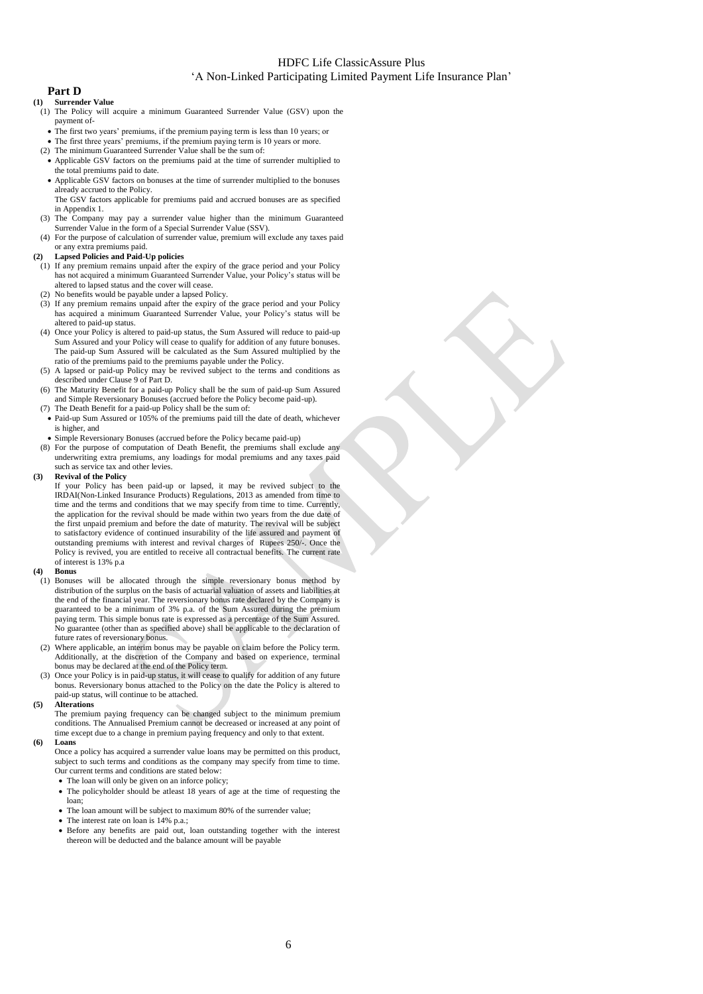## **Part D**

- **(1) Surrender Value**
	- (1) The Policy will acquire a minimum Guaranteed Surrender Value (GSV) upon the payment of-
	- The first two years' premiums, if the premium paying term is less than 10 years; or
	- The first three years' premiums, if the premium paying term is 10 years or more.
	- (2) The minimum Guaranteed Surrender Value shall be the sum of: Applicable GSV factors on the premiums paid at the time of surrender multiplied to the total premiums paid to date.
	- Applicable GSV factors on bonuses at the time of surrender multiplied to the bonuses already accrued to the Policy.
	- The GSV factors applicable for premiums paid and accrued bonuses are as specified in Appendix 1.
	- (3) The Company may pay a surrender value higher than the minimum Guaranteed Surrender Value in the form of a Special Surrender Value (SSV).
	- (4) For the purpose of calculation of surrender value, premium will exclude any taxes paid or any extra premiums paid.

#### **(2) Lapsed Policies and Paid-Up policies**

- (1) If any premium remains unpaid after the expiry of the grace period and your Policy has not acquired a minimum Guaranteed Surrender Value, your Policy's status will be altered to lapsed status and the cover will cease.
- (2) No benefits would be payable under a lapsed Policy.
- (3) If any premium remains unpaid after the expiry of the grace period and your Policy has acquired a minimum Guaranteed Surrender Value, your Policy's status will be altered to paid-up status.
- (4) Once your Policy is altered to paid-up status, the Sum Assured will reduce to paid-up Sum Assured and your Policy will cease to qualify for addition of any future bonuses. The paid-up Sum Assured will be calculated as the Sum Assured multiplied by the ratio of the premiums paid to the premiums payable under the Policy.
- (5) A lapsed or paid-up Policy may be revived subject to the terms and conditions as described under Clause 9 of Part D.
- (6) The Maturity Benefit for a paid-up Policy shall be the sum of paid-up Sum Assured and Simple Reversionary Bonuses (accrued before the Policy become paid-up).
- (7) The Death Benefit for a paid-up Policy shall be the sum of:
- Paid-up Sum Assured or 105% of the premiums paid till the date of death, whichever is higher, and
- Simple Reversionary Bonuses (accrued before the Policy became paid-up)
- (8) For the purpose of computation of Death Benefit, the premiums shall exclude any underwriting extra premiums, any loadings for modal premiums and any taxes paid such as service tax and other levies.

#### **(3) Revival of the Policy**

If your Policy has been paid-up or lapsed, it may be revived subject to the IRDAI(Non-Linked Insurance Products) Regulations, 2013 as amended from time to time and the terms and conditions that we may specify from time to time. Currently, the application for the revival should be made within two years from the due date of the first unpaid premium and before the date of maturity. The revival will be subject to satisfactory evidence of continued insurability of the life assured and payment of outstanding premiums with interest and revival charges of Rupees 250/-Policy is revived, you are entitled to receive all contractual benefits. The current rate of interest is 13% p.a

#### **(4) Bonus**

- (1) Bonuses will be allocated through the simple reversionary bonus method by distribution of the surplus on the basis of actuarial valuation of assets and liabilities at the end of the financial year. The reversionary bonus rate declared by the Company is guaranteed to be a minimum of 3% p.a. of the Sum Assured during the premium paying term. This simple bonus rate is expressed as a percentage of the Sum Assured. No guarantee (other than as specified above) shall be applicable to the declaration of future rates of reversionary bonus.
- (2) Where applicable, an interim bonus may be payable on claim before the Policy term. Additionally, at the discretion of the Company and based on experience, terminal bonus may be declared at the end of the Policy term.
- (3) Once your Policy is in paid-up status, it will cease to qualify for addition of any future bonus. Reversionary bonus attached to the Policy on the date the Policy is altered to paid-up status, will continue to be attached.

#### **(5) Alterations**

The premium paying frequency can be changed subject to the minimum premium conditions. The Annualised Premium cannot be decreased or increased at any point of time except due to a change in premium paying frequency and only to that extent.

#### **(6) Loans**

Once a policy has acquired a surrender value loans may be permitted on this product, subject to such terms and conditions as the company may specify from time to time. Our current terms and conditions are stated below:

The loan will only be given on an inforce policy;

- The policyholder should be atleast 18 years of age at the time of requesting the loan;
- The loan amount will be subject to maximum 80% of the surrender value;
- The interest rate on loan is 14% p.a.;
- Before any benefits are paid out, loan outstanding together with the interest thereon will be deducted and the balance amount will be payable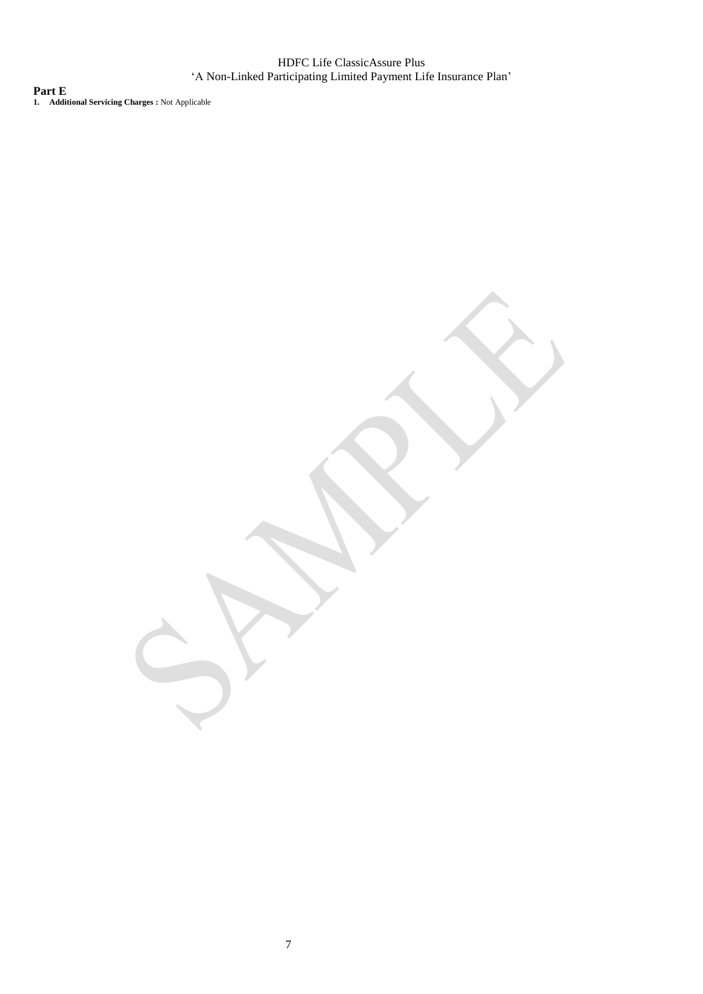**Part E 1. Additional Servicing Charges :** Not Applicable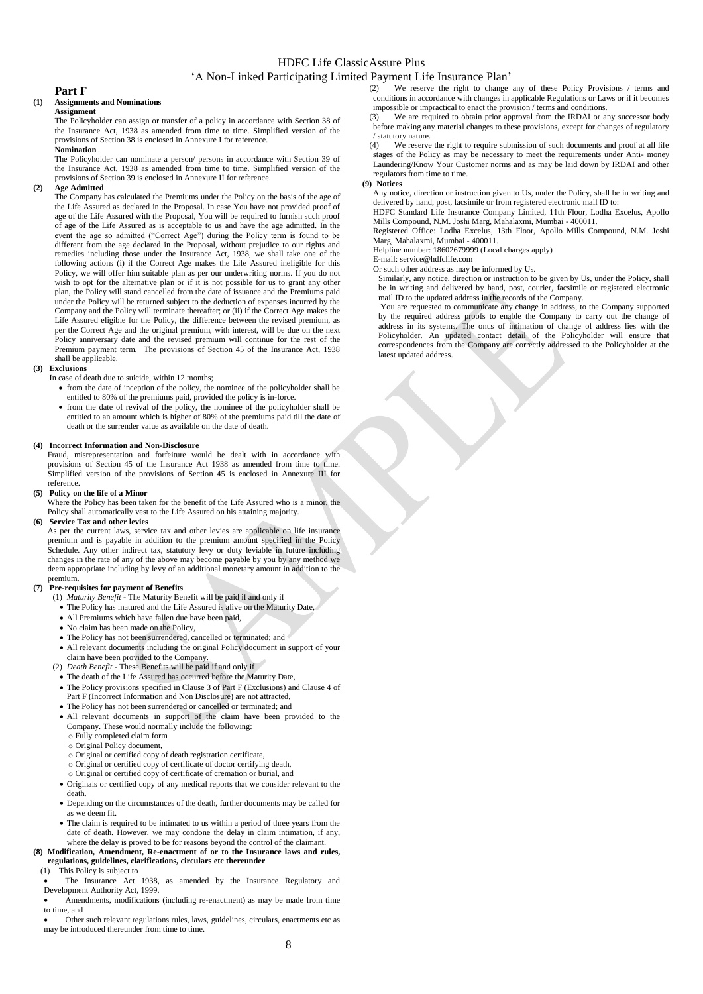#### **Part F**

#### **(1) Assignments and Nominations Assignment**

The Policyholder can assign or transfer of a policy in accordance with Section 38 of the Insurance Act, 1938 as amended from time to time. Simplified version of the provisions of Section 38 is enclosed in Annexure I for reference. **Nomination**

The Policyholder can nominate a person/ persons in accordance with Section 39 of the Insurance Act, 1938 as amended from time to time. Simplified version of the provisions of Section 39 is enclosed in Annexure II for reference.

#### **(2) Age Admitted**

The Company has calculated the Premiums under the Policy on the basis of the age of the Life Assured as declared in the Proposal. In case You have not provided proof of age of the Life Assured with the Proposal, You will be required to furnish such proof of age of the Life Assured as is acceptable to us and have the age admitted. In the event the age so admitted ("Correct Age") during the Policy term is found to be different from the age declared in the Proposal, without prejudice to our rights and remedies including those under the Insurance Act, 1938, we shall take one of the following actions (i) if the Correct Age makes the Life Assured ineligible for this Policy, we will offer him suitable plan as per our underwriting norms. If you do not wish to opt for the alternative plan or if it is not possible for us to grant any other plan, the Policy will stand cancelled from the date of issuance and the Premiums paid under the Policy will be returned subject to the deduction of expenses incurred by the Company and the Policy will terminate thereafter; or (ii) if the Correct Age makes the Life Assured eligible for the Policy, the difference between the revised premium, as per the Correct Age and the original premium, with interest, will be due on the next Policy anniversary date and the revised premium will continue for the rest of the Premium payment term. The provisions of Section 45 of the Insurance Act, 1938 shall be applicable.

#### **(3) Exclusions**

In case of death due to suicide, within 12 months;

- from the date of inception of the policy, the nominee of the policyholder shall be entitled to 80% of the premiums paid, provided the policy is in-force.
- from the date of revival of the policy, the nominee of the policyholder shall be entitled to an amount which is higher of 80% of the premiums paid till the date of death or the surrender value as available on the date of death.

#### **(4) Incorrect Information and Non-Disclosure**

Fraud, misrepresentation and forfeiture would be dealt with in accordance with provisions of Section 45 of the Insurance Act 1938 as amended from time to time. Simplified version of the provisions of Section 45 is enclosed in Annexure III for reference.

#### **(5) Policy on the life of a Minor**

Where the Policy has been taken for the benefit of the Life Assured who is a minor, the Policy shall automatically vest to the Life Assured on his attaining majority.

#### **(6) Service Tax and other levies**

As per the current laws, service tax and other levies are applicable on life insurance premium and is payable in addition to the premium amount specified in the Policy Schedule. Any other indirect tax, statutory levy or duty leviable in future including changes in the rate of any of the above may become payable by you by any method we deem appropriate including by levy of an additional monetary amount in addition to the premium.

#### **(7) Pre-requisites for payment of Benefits**

- (1) *Maturity Benefit*  The Maturity Benefit will be paid if and only if
	- The Policy has matured and the Life Assured is alive on the Maturity Date,
	- All Premiums which have fallen due have been paid,
	- No claim has been made on the Policy,
	- The Policy has not been surrendered, cancelled or terminated; and
	- All relevant documents including the original Policy document in support of your claim have been provided to the Company.
- (2) *Death Benefit*  These Benefits will be paid if and only if
	- The death of the Life Assured has occurred before the Maturity Date,
	- The Policy provisions specified in Clause 3 of Part F (Exclusions) and Clause 4 of Part F (Incorrect Information and Non Disclosure) are not attracted,
	- The Policy has not been surrendered or cancelled or terminated; and
	- All relevant documents in support of the claim have been provided to the Company. These would normally include the following:
	- o Fully completed claim form
	- o Original Policy document,
	- o Original or certified copy of death registration certificate,
	- o Original or certified copy of certificate of doctor certifying death, o Original or certified copy of certificate of cremation or burial, and
	- Originals or certified copy of any medical reports that we consider relevant to the death.
- Depending on the circumstances of the death, further documents may be called for as we deem fit.
- The claim is required to be intimated to us within a period of three years from the date of death. However, we may condone the delay in claim intimation, if any, where the delay is proved to be for reasons beyond the control of the claimant.

**(8) Modification, Amendment, Re-enactment of or to the Insurance laws and rules, regulations, guidelines, clarifications, circulars etc thereunder** (1) This Policy is subject to

## This Policy is subject to

 The Insurance Act 1938, as amended by the Insurance Regulatory and Development Authority Act, 1999.

 Amendments, modifications (including re-enactment) as may be made from time to time, and

 Other such relevant regulations rules, laws, guidelines, circulars, enactments etc as may be introduced thereunder from time to time.

- (2) We reserve the right to change any of these Policy Provisions / terms and conditions in accordance with changes in applicable Regulations or Laws or if it becomes impossible or impractical to enact the provision / terms and conditions. (3) We are required to obtain prior approval from the IRDAI or any successor body
- before making any material changes to these provisions, except for changes of regulatory / statutory nature.
- (4) We reserve the right to require submission of such documents and proof at all life stages of the Policy as may be necessary to meet the requirements under Anti- money Laundering/Know Your Customer norms and as may be laid down by IRDAI and other regulators from time to time.

#### **(9) Notices**

Any notice, direction or instruction given to Us, under the Policy, shall be in writing and delivered by hand, post, facsimile or from registered electronic mail ID to:

HDFC Standard Life Insurance Company Limited, 11th Floor, Lodha Excelus, Apollo Mills Compound, N.M. Joshi Marg, Mahalaxmi, Mumbai - 400011.

Registered Office: Lodha Excelus, 13th Floor, Apollo Mills Compound, N.M. Joshi Marg, Mahalaxmi, Mumbai - 400011.

Helpline number: 18602679999 (Local charges apply)

- E-mail: service@hdfclife.com Or such other address as may be informed by Us.
- Similarly, any notice, direction or instruction to be given by Us, under the Policy, shall be in writing and delivered by hand, post, courier, facsimile or registered electronic mail ID to the updated address in the records of the Company.

You are requested to communicate any change in address, to the Company supported by the required address proofs to enable the Company to carry out the change of address in its systems. The onus of intimation of change of address lies with the Policyholder. An updated contact detail of the Policyholder will ensure that correspondences from the Company are correctly addressed to the Policyholder at the latest updated address.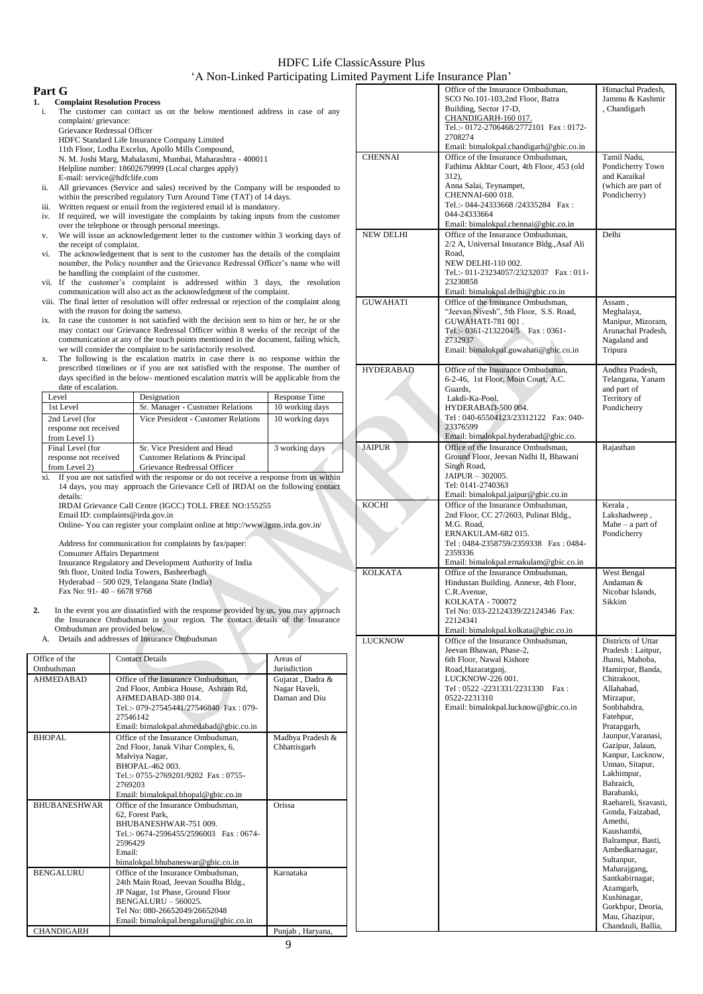## **Part G**

- **1. Complaint Resolution Process**  The customer can contact us on the below mentioned address in case of any complaint/ grievance:
	- Grievance Redressal Officer HDFC Standard Life Insurance Company Limited
		- 11th Floor, Lodha Excelus, Apollo Mills Compound,
		- N. M. Joshi Marg, Mahalaxmi, Mumbai, Maharashtra 400011
		- Helpline number: 18602679999 (Local charges apply)
- E-mail: service@hdfclife.com ii. All grievances (Service and sales) received by the Company will be responded to within the prescribed regulatory Turn Around Time (TAT) of 14 days.
- iii. Written request or email from the registered email id is mandatory.
- iv. If required, we will investigate the complaints by taking inputs from the customer over the telephone or through personal meetings. v. We will issue an acknowledgement letter to the customer within 3 working days of
- the receipt of complaint. vi. The acknowledgement that is sent to the customer has the details of the complaint
- noumber, the Policy noumber and the Grievance Redressal Officer's name who will be handling the complaint of the customer.
- vii. If the customer's complaint is addressed within 3 days, the resolution communication will also act as the acknowledgment of the complaint.
- viii. The final letter of resolution will offer redressal or rejection of the complaint along with the reason for doing the sameso.
- ix. In case the customer is not satisfied with the decision sent to him or her, he or she may contact our Grievance Redressal Officer within 8 weeks of the receipt of the communication at any of the touch points mentioned in the document, failing which, we will consider the complaint to be satisfactorily resolved.
- x. The following is the escalation matrix in case there is no response within the prescribed timelines or if you are not satisfied with the response. The number of days specified in the below- mentioned escalation matrix will be applicable from the date of escalation

| Level                                                      | Designation                                                                                  | Response Time   |
|------------------------------------------------------------|----------------------------------------------------------------------------------------------|-----------------|
| 1st Level                                                  | Sr. Manager - Customer Relations                                                             | 10 working days |
| 2nd Level (for<br>response not received<br>from Level 1)   | Vice President - Customer Relations                                                          | 10 working days |
| Final Level (for<br>response not received<br>from Level 2) | Sr. Vice President and Head<br>Customer Relations & Principal<br>Grievance Redressal Officer | 3 working days  |

xi. If you are not satisfied with the response or do not receive a response from us within 14 days, you may approach the Grievance Cell of IRDAI on the following contact details: IRDAI Grievance Call Centre (IGCC) TOLL FREE NO:155255

Email ID: complaints@irda.gov.in Online- You can register your complaint online at http://www.igms.irda.gov.in/

Address for communication for complaints by fax/paper: Consumer Affairs Department Insurance Regulatory and Development Authority of India 9th floor, United India Towers, Basheerbagh Hyderabad – 500 029, Telangana State (India) Fax No: 91- 40 – 6678 9768

**2.** In the event you are dissatisfied with the response provided by us, you may approach the Insurance Ombudsman in your region. The contact details of the Insurance Ombudsman are provided below.

A. Details and addresses of Insurance Ombudsman

| Office of the       | <b>Contact Details</b>                                                                                                                                                                                              | Areas of                                           |
|---------------------|---------------------------------------------------------------------------------------------------------------------------------------------------------------------------------------------------------------------|----------------------------------------------------|
| Ombudsman           |                                                                                                                                                                                                                     | <b>Jurisdiction</b>                                |
| <b>AHMEDABAD</b>    | Office of the Insurance Ombudsman,<br>2nd Floor, Ambica House, Ashram Rd,<br>AHMEDABAD-380014.<br>Tel.:- 079-27545441/27546840 Fax: 079-<br>27546142<br>Email: bimalokpal.ahmedabad@gbic.co.in                      | Gujarat, Dadra &<br>Nagar Haveli,<br>Daman and Diu |
| BHOPAL              | Office of the Insurance Ombudsman.<br>2nd Floor, Janak Vihar Complex, 6,<br>Malviya Nagar,<br>BHOPAL-462 003.<br>Tel.:- 0755-2769201/9202 Fax: 0755-<br>2769203<br>Email: bimalokpal.bhopal@gbic.co.in              | Madhya Pradesh &<br>Chhattisgarh                   |
| <b>BHUBANESHWAR</b> | Office of the Insurance Ombudsman.<br>62, Forest Park,<br>BHUBANESHWAR-751 009.<br>Tel.:- 0674-2596455/2596003 Fax: 0674-<br>2596429<br>Email:<br>bimalokpal.bhubaneswar@gbic.co.in                                 | Orissa                                             |
| <b>BENGALURU</b>    | Office of the Insurance Ombudsman.<br>24th Main Road, Jeevan Soudha Bldg.,<br>JP Nagar, 1st Phase, Ground Floor<br>$BENGALURI - 560025.$<br>Tel No: 080-26652049/26652048<br>Email: bimalokpal.bengaluru@gbic.co.in | Karnataka                                          |
| <b>CHANDIGARH</b>   |                                                                                                                                                                                                                     | Punjab, Haryana,                                   |

|                  | Office of the Insurance Ombudsman,<br>SCO No.101-103,2nd Floor, Batra<br>Building, Sector 17-D,<br>CHANDIGARH-160 017.<br>Tel.:- 0172-2706468/2772101 Fax: 0172-<br>2708274                                                                                                     | Himachal Pradesh,<br>Jammu & Kashmir<br>, Chandigarh                                                                                                                                                                                                                                                                                                                                                                                                                                                                                                |
|------------------|---------------------------------------------------------------------------------------------------------------------------------------------------------------------------------------------------------------------------------------------------------------------------------|-----------------------------------------------------------------------------------------------------------------------------------------------------------------------------------------------------------------------------------------------------------------------------------------------------------------------------------------------------------------------------------------------------------------------------------------------------------------------------------------------------------------------------------------------------|
| <b>CHENNAI</b>   | Email: bimalokpal.chandigarh@gbic.co.in<br>Office of the Insurance Ombudsman,<br>Fathima Akhtar Court, 4th Floor, 453 (old<br>312),<br>Anna Salai, Teynampet,<br>CHENNAI-600 018.<br>Tel.:- 044-24333668 /24335284 Fax:<br>044-24333664<br>Email: bimalokpal.chennai@gbic.co.in | Tamil Nadu,<br>Pondicherry Town<br>and Karaikal<br>(which are part of<br>Pondicherry)                                                                                                                                                                                                                                                                                                                                                                                                                                                               |
| <b>NEW DELHI</b> | Office of the Insurance Ombudsman.<br>2/2 A, Universal Insurance Bldg., Asaf Ali<br>Road,<br>NEW DELHI-110 002.<br>Tel.:- 011-23234057/23232037 Fax: 011-<br>23230858<br>Email: bimalokpal.delhi@gbic.co.in                                                                     | Delhi                                                                                                                                                                                                                                                                                                                                                                                                                                                                                                                                               |
| <b>GUWAHATI</b>  | Office of the Insurance Ombudsman,<br>"Jeevan Nivesh", 5th Floor, S.S. Road,<br>GUWAHATI-781 001.<br>Tel.:- 0361-2132204/5   Fax: 0361-<br>2732937<br>Email: bimalokpal.guwahati@gbic.co.in                                                                                     | Assam,<br>Meghalaya,<br>Manipur, Mizoram,<br>Arunachal Pradesh,<br>Nagaland and<br>Tripura                                                                                                                                                                                                                                                                                                                                                                                                                                                          |
| <b>HYDERABAD</b> | Office of the Insurance Ombudsman,<br>6-2-46, 1st Floor, Moin Court, A.C.<br>Guards,<br>Lakdi-Ka-Pool,<br>HYDERABAD-500 004.<br>Tel: 040-65504123/23312122 Fax: 040-<br>23376599<br>Email: bimalokpal.hyderabad@gbic.co.                                                        | Andhra Pradesh,<br>Telangana, Yanam<br>and part of<br>Territory of<br>Pondicherry                                                                                                                                                                                                                                                                                                                                                                                                                                                                   |
| <b>JAIPUR</b>    | Office of the Insurance Ombudsman.<br>Ground Floor, Jeevan Nidhi II, Bhawani<br>Singh Road,<br>JAIPUR - 302005.<br>Tel: 0141-2740363<br>Email: bimalokpal.jaipur@gbic.co.in                                                                                                     | Rajasthan                                                                                                                                                                                                                                                                                                                                                                                                                                                                                                                                           |
| <b>KOCHI</b>     | Office of the Insurance Ombudsman,<br>2nd Floor, CC 27/2603, Pulinat Bldg.,<br>M.G. Road,<br>ERNAKULAM-682 015.<br>Tel: 0484-2358759/2359338 Fax: 0484-<br>2359336<br>Email: bimalokpal.ernakulam@gbic.co.in                                                                    | Kerala,<br>Lakshadweep,<br>Mahe $-$ a part of<br>Pondicherry                                                                                                                                                                                                                                                                                                                                                                                                                                                                                        |
| <b>KOLKATA</b>   | Office of the Insurance Ombudsman,<br>Hindustan Building. Annexe, 4th Floor,<br>C.R. Avenue,<br>KOLKATA - 700072<br>Tel No: 033-22124339/22124346 Fax:<br>22124341<br>Email: bimalokpal.kolkata@gbic.co.in                                                                      | West Bengal<br>Andaman &<br>Nicobar Islands,<br>Sikkim                                                                                                                                                                                                                                                                                                                                                                                                                                                                                              |
| <b>LUCKNOW</b>   | Office of the Insurance Ombudsman,<br>Jeevan Bhawan, Phase-2,<br>6th Floor, Nawal Kishore<br>Road, Hazaratganj,<br>LUCKNOW-226 001.<br>Tel: 0522 -2231331/2231330 Fax:<br>0522-2231310<br>Email: bimalokpal.lucknow@gbic.co.in                                                  | Districts of Uttar<br>Pradesh: Laitpur,<br>Jhansi, Mahoba,<br>Hamirpur, Banda,<br>Chitrakoot,<br>Allahabad,<br>Mirzapur,<br>Sonbhabdra,<br>Fatehpur,<br>Pratapgarh,<br>Jaunpur, Varanasi,<br>Gazipur, Jalaun,<br>Kanpur, Lucknow,<br>Unnao, Sitapur,<br>Lakhimpur,<br>Bahraich,<br>Barabanki,<br>Raebareli, Sravasti,<br>Gonda, Faizabad,<br>Amethi,<br>Kaushambi,<br>Balrampur, Basti,<br>Ambedkarnagar,<br>Sultanpur,<br>Maharajgang,<br>Santkabirnagar,<br>Azamgarh,<br>Kushinagar,<br>Gorkhpur, Deoria,<br>Mau, Ghazipur,<br>Chandauli, Ballia, |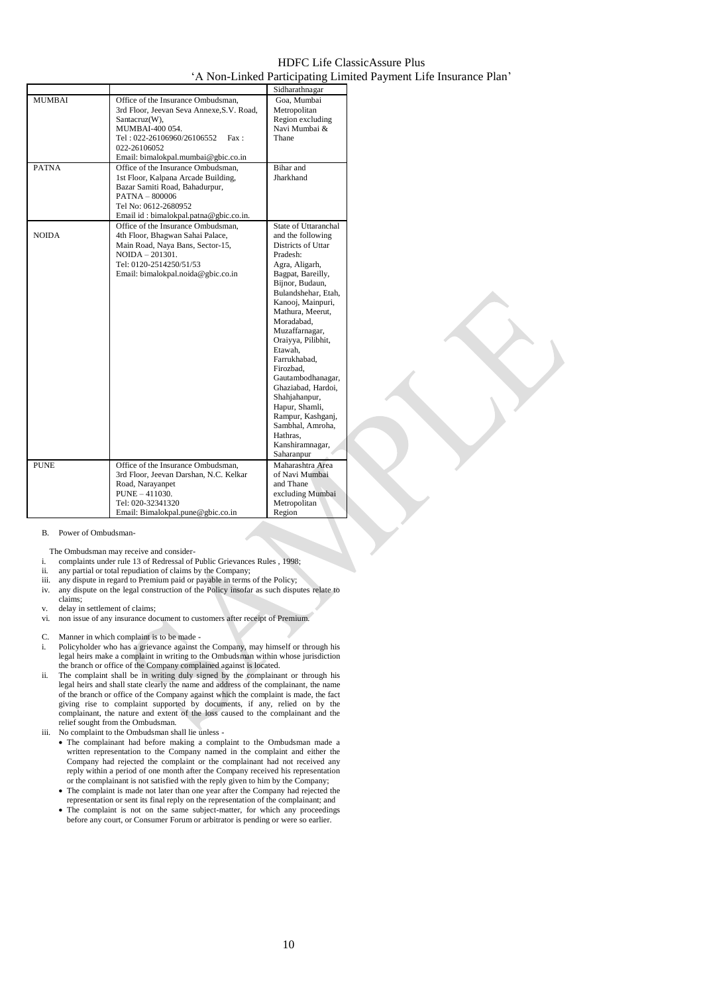|               |                                                                                                                                                                                                                  | Sidharathnagar                                                                                                                                                                                                                                                                                                                                                                                                                                                          |
|---------------|------------------------------------------------------------------------------------------------------------------------------------------------------------------------------------------------------------------|-------------------------------------------------------------------------------------------------------------------------------------------------------------------------------------------------------------------------------------------------------------------------------------------------------------------------------------------------------------------------------------------------------------------------------------------------------------------------|
| <b>MUMBAI</b> | Office of the Insurance Ombudsman,<br>3rd Floor, Jeevan Seva Annexe, S.V. Road,<br>Santacruz(W),<br>MUMBAI-400 054.<br>Tel: 022-26106960/26106552<br>Fax:<br>022-26106052<br>Email: bimalokpal.mumbai@gbic.co.in | Goa, Mumbai<br>Metropolitan<br>Region excluding<br>Navi Mumbai &<br>Thane                                                                                                                                                                                                                                                                                                                                                                                               |
| <b>PATNA</b>  | Office of the Insurance Ombudsman.<br>1st Floor, Kalpana Arcade Building,<br>Bazar Samiti Road, Bahadurpur,<br>$PATH - 800006$<br>Tel No: 0612-2680952<br>Email id: bimalokpal.patna@gbic.co.in.                 | Bihar and<br>Jharkhand                                                                                                                                                                                                                                                                                                                                                                                                                                                  |
| <b>NOIDA</b>  | Office of the Insurance Ombudsman.<br>4th Floor, Bhagwan Sahai Palace,<br>Main Road, Naya Bans, Sector-15,<br>$NOIDA - 201301.$<br>Tel: 0120-2514250/51/53<br>Email: bimalokpal.noida@gbic.co.in                 | State of Uttaranchal<br>and the following<br>Districts of Uttar<br>Pradesh:<br>Agra, Aligarh,<br>Bagpat, Bareilly,<br>Bijnor, Budaun,<br>Bulandshehar, Etah,<br>Kanooj, Mainpuri,<br>Mathura, Meerut.<br>Moradabad.<br>Muzaffarnagar,<br>Oraiyya, Pilibhit,<br>Etawah.<br>Farrukhabad.<br>Firozbad,<br>Gautambodhanagar,<br>Ghaziabad, Hardoi,<br>Shahjahanpur,<br>Hapur, Shamli,<br>Rampur, Kashganj,<br>Sambhal, Amroha,<br>Hathras.<br>Kanshiramnagar,<br>Saharanpur |
| <b>PUNE</b>   | Office of the Insurance Ombudsman,<br>3rd Floor, Jeevan Darshan, N.C. Kelkar<br>Road, Narayanpet<br>PUNE - 411030.<br>Tel: 020-32341320                                                                          | Maharashtra Area<br>of Navi Mumbai<br>and Thane<br>excluding Mumbai<br>Metropolitan                                                                                                                                                                                                                                                                                                                                                                                     |
|               | Email: Bimalokpal.pune@gbic.co.in                                                                                                                                                                                | Region                                                                                                                                                                                                                                                                                                                                                                                                                                                                  |

#### B. Power of Ombudsman-

- The Ombudsman may receive and consider-
- i. complaints under rule 13 of Redressal of Public Grievances Rules , 1998;
- ii. any partial or total repudiation of claims by the Company;
- iii. any dispute in regard to Premium paid or payable in terms of the Policy; iv. any dispute on the legal construction of the Policy insofar as such dispute
- ivery dispute on the legal construction of the Policy insofar as such disputes relate to claims;
- v. delay in settlement of claims;
- vi. non issue of any insurance document to customers after receipt of Premium.
- C. Manner in which complaint is to be made -
- i. Policyholder who has a grievance against the Company, may himself or through his legal heirs make a complaint in writing to the Ombudsman within whose jurisdiction the branch or office of the Company complained against is located.
- ii. The complaint shall be in writing duly signed by the complainant or through his legal heirs and shall state clearly the name and address of the complainant, the name of the branch or office of the Company against which the complaint is made, the fact giving rise to complaint supported by documents, if any, relied on by the complainant, the nature and extent of the loss caused to the complainant and the relief sought from the Ombudsman.
- iii. No complaint to the Ombudsman shall lie unless -
	- The complainant had before making a complaint to the Ombudsman made a written representation to the Company named in the complaint and either the Company had rejected the complaint or the complainant had not received any reply within a period of one month after the Company received his representation or the complainant is not satisfied with the reply given to him by the Company;
	- The complaint is made not later than one year after the Company had rejected the representation or sent its final reply on the representation of the complainant; and
	- The complaint is not on the same subject-matter, for which any proceedings before any court, or Consumer Forum or arbitrator is pending or were so earlier.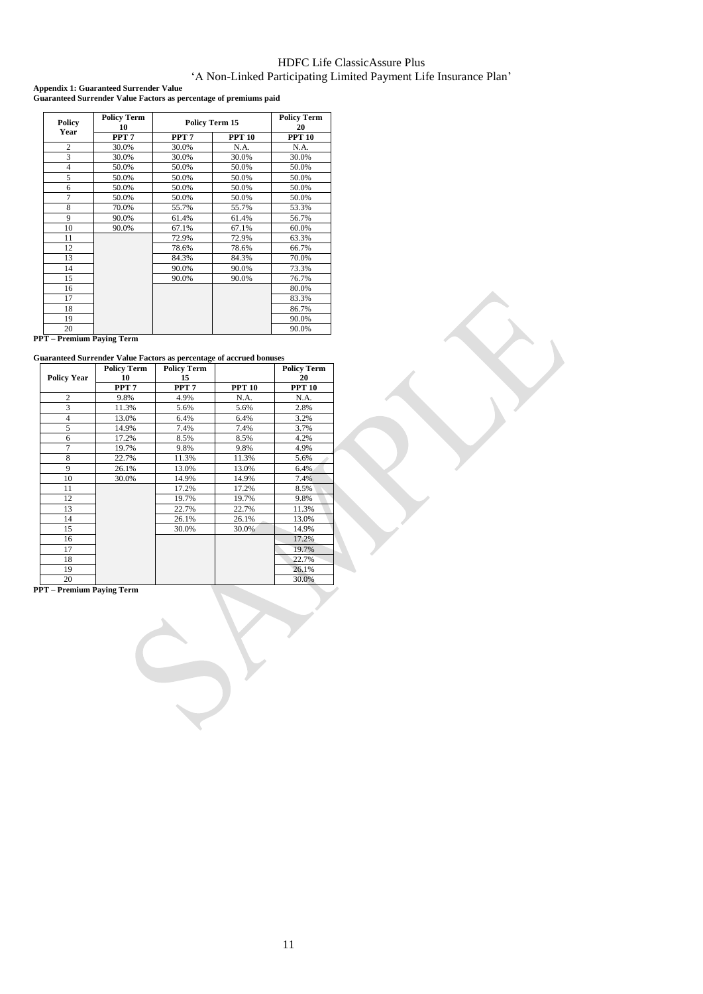**Appendix 1: Guaranteed Surrender Value Guaranteed Surrender Value Factors as percentage of premiums paid**

| Policy<br>Year | <b>Policy Term</b><br>10 | <b>Policy Term 15</b> |               | <b>Policy Term</b><br>20 |
|----------------|--------------------------|-----------------------|---------------|--------------------------|
|                | PPT <sub>7</sub>         | PPT <sub>7</sub>      | <b>PPT 10</b> | <b>PPT 10</b>            |
| $\overline{c}$ | 30.0%                    | 30.0%                 | N.A.          | N.A.                     |
| 3              | 30.0%                    | 30.0%                 | 30.0%         | 30.0%                    |
| $\overline{4}$ | 50.0%                    | 50.0%                 | 50.0%         | 50.0%                    |
| 5              | 50.0%                    | 50.0%                 | 50.0%         | 50.0%                    |
| 6              | 50.0%                    | 50.0%                 | 50.0%         | 50.0%                    |
| 7              | 50.0%                    | 50.0%                 | 50.0%         | 50.0%                    |
| 8              | 70.0%                    | 55.7%                 | 55.7%         | 53.3%                    |
| 9              | 90.0%                    | 61.4%                 | 61.4%         | 56.7%                    |
| 10             | 90.0%                    | 67.1%                 | 67.1%         | 60.0%                    |
| 11             |                          | 72.9%                 | 72.9%         | 63.3%                    |
| 12             |                          | 78.6%                 | 78.6%         | 66.7%                    |
| 13             |                          | 84.3%                 | 84.3%         | 70.0%                    |
| 14             |                          | 90.0%                 | 90.0%         | 73.3%                    |
| 15             |                          | 90.0%                 | 90.0%         | 76.7%                    |
| 16             |                          |                       |               | 80.0%                    |
| 17             |                          |                       |               | 83.3%                    |
| 18             |                          |                       |               | 86.7%                    |
| 19             |                          |                       |               | 90.0%                    |
| 20             |                          |                       |               | 90.0%                    |

**PPT – Premium Paying Term**

**Guaranteed Surrender Value Factors as percentage of accrued bonuses**

|                    | <b>Policy Term</b> | $\sim$<br><b>Policy Term</b> |               | <b>Policy Term</b> |
|--------------------|--------------------|------------------------------|---------------|--------------------|
| <b>Policy Year</b> | 10                 | 15                           |               | 20                 |
|                    | PPT <sub>7</sub>   | PPT <sub>7</sub>             | <b>PPT 10</b> | <b>PPT 10</b>      |
| $\overline{c}$     | 9.8%               | 4.9%                         | N.A.          | N.A.               |
| 3                  | 11.3%              | 5.6%                         | 5.6%          | 2.8%               |
| $\overline{4}$     | 13.0%              | 6.4%                         | 6.4%          | 3.2%               |
| 5                  | 14.9%              | 7.4%                         | 7.4%          | 3.7%               |
| 6                  | 17.2%              | 8.5%                         | 8.5%          | 4.2%               |
| $\overline{7}$     | 19.7%              | 9.8%                         | 9.8%          | 4.9%               |
| 8                  | 22.7%              | 11.3%                        | 11.3%         | 5.6%               |
| 9                  | 26.1%              | 13.0%                        | 13.0%         | 6.4%               |
| 10                 | 30.0%              | 14.9%                        | 14.9%         | 7.4%               |
| 11                 |                    | 17.2%                        | 17.2%         | 8.5%               |
| 12                 |                    | 19.7%                        | 19.7%         | 9.8%               |
| 13                 |                    | 22.7%                        | 22.7%         | 11.3%              |
| 14                 |                    | 26.1%                        | 26.1%         | 13.0%              |
| 15                 |                    | 30.0%                        | 30.0%         | 14.9%              |
| 16                 |                    |                              |               | 17.2%              |
| 17                 |                    |                              |               | 19.7%              |
| 18                 |                    |                              |               | 22.7%              |
| 19                 |                    |                              |               | 26.1%              |
| 20                 |                    |                              |               | 30.0%              |

**PPT – Premium Paying Term**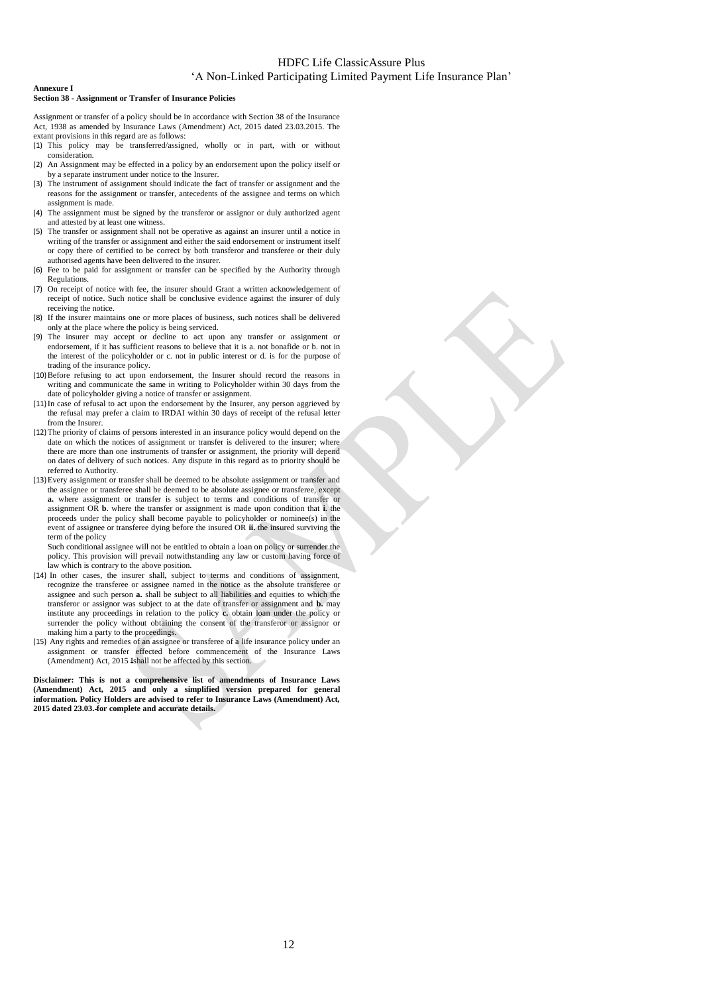#### **Annexure I Section 38 - Assignment or Transfer of Insurance Policies**

Assignment or transfer of a policy should be in accordance with Section 38 of the Insurance Act, 1938 as amended by Insurance Laws (Amendment) Act, 2015 dated 23.03.2015. The

- extant provisions in this regard are as follows: (1) This policy may be transferred/assigned, wholly or in part, with or without consideration.
- (2) An Assignment may be effected in a policy by an endorsement upon the policy itself or by a separate instrument under notice to the Insurer.
- (3) The instrument of assignment should indicate the fact of transfer or assignment and the reasons for the assignment or transfer, antecedents of the assignee and terms on which assignment is made.
- (4) The assignment must be signed by the transferor or assignor or duly authorized agent and attested by at least one witness.
- (5) The transfer or assignment shall not be operative as against an insurer until a notice in writing of the transfer or assignment and either the said endorsement or instrument itself or copy there of certified to be correct by both transferor and transferee or their duly authorised agents have been delivered to the insurer.
- (6) Fee to be paid for assignment or transfer can be specified by the Authority through Regulations.
- (7) On receipt of notice with fee, the insurer should Grant a written acknowledgement of receipt of notice. Such notice shall be conclusive evidence against the insurer of duly receiving the notice.
- (8) If the insurer maintains one or more places of business, such notices shall be delivered only at the place where the policy is being serviced.
- (9) The insurer may accept or decline to act upon any transfer or assignment or endorsement, if it has sufficient reasons to believe that it is a. not bonafide or b. not in the interest of the policyholder or c. not in public interest or d. is for the purpose of trading of the insurance policy.
- (10)Before refusing to act upon endorsement, the Insurer should record the reasons in writing and communicate the same in writing to Policyholder within 30 days from the date of policyholder giving a notice of transfer or assignment.
- (11)In case of refusal to act upon the endorsement by the Insurer, any person aggrieved by the refusal may prefer a claim to IRDAI within 30 days of receipt of the refusal letter from the Insurer.
- (12)The priority of claims of persons interested in an insurance policy would depend on the date on which the notices of assignment or transfer is delivered to the insurer; where there are more than one instruments of transfer or assignment, the priority will depend on dates of delivery of such notices. Any dispute in this regard as to priority should be referred to Authority.
- (13)Every assignment or transfer shall be deemed to be absolute assignment or transfer and the assignee or transferee shall be deemed to be absolute assignee or transferee, except **a.** where assignment or transfer is subject to terms and conditions of transfer or assignment OR **b**. where the transfer or assignment is made upon condition that **i**. the proceeds under the policy shall become payable to policyholder or nominee(s) in the event of assignee or transferee dying before the insured OR **ii.** the insured surviving the term of the policy

Such conditional assignee will not be entitled to obtain a loan on policy or surrender the policy. This provision will prevail notwithstanding any law or custom having force of law which is contrary to the above position.

- (14) In other cases, the insurer shall, subject to terms and conditions of assignment, recognize the transferee or assignee named in the notice as the absolute transferee or assignee and such person **a.** shall be subject to all liabilities and equities to which the transferor or assignor was subject to at the date of transfer or assignment and **b.** may institute any proceedings in relation to the policy **c.** obtain loan under the policy or surrender the policy without obtaining the consent of the transferor or assignor or making him a party to the proceedings.
- (15) Any rights and remedies of an assignee or transferee of a life insurance policy under an assignment or transfer effected before commencement of the Insurance Laws (Amendment) Act, 2015 Ishall not be affected by this section.

**Disclaimer: This is not a comprehensive list of amendments of Insurance Laws (Amendment) Act, 2015 and only a simplified version prepared for general information. Policy Holders are advised to refer to Insurance Laws (Amendment) Act, 2015 dated 23.03. for complete and accurate details.**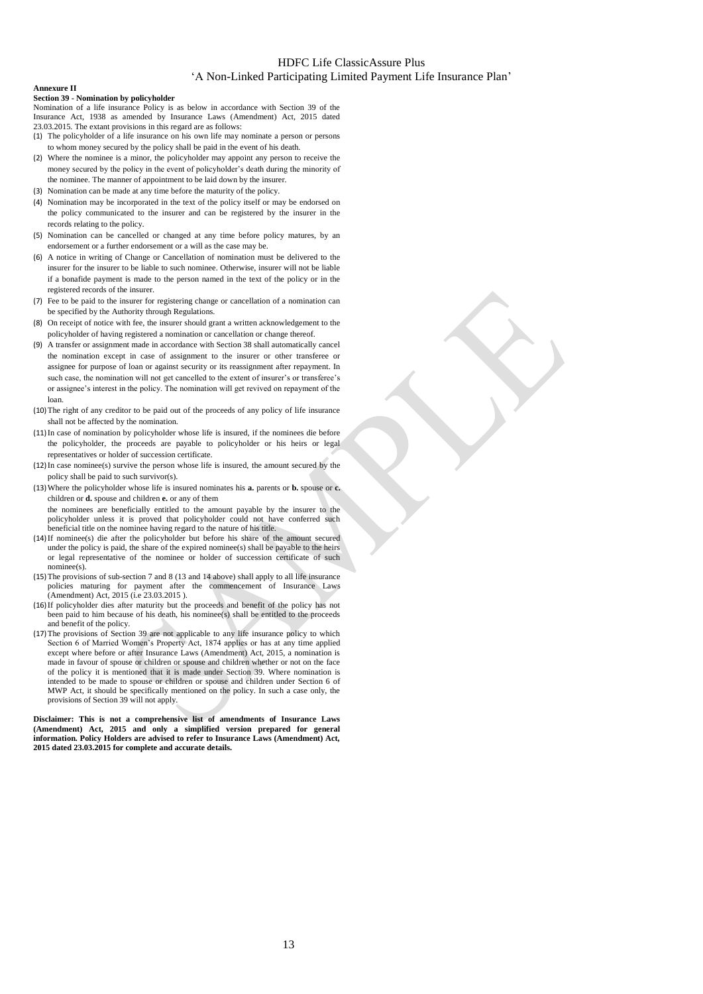#### **Annexure II**

#### **Section 39 - Nomination by policyholder**

Nomination of a life insurance Policy is as below in accordance with Section 39 of the Insurance Act, 1938 as amended by Insurance Laws (Amendment) Act, 2015 dated

- 23.03.2015. The extant provisions in this regard are as follows:
- (1) The policyholder of a life insurance on his own life may nominate a person or persons to whom money secured by the policy shall be paid in the event of his death.
- (2) Where the nominee is a minor, the policyholder may appoint any person to receive the money secured by the policy in the event of policyholder's death during the minority of the nominee. The manner of appointment to be laid down by the insurer.
- (3) Nomination can be made at any time before the maturity of the policy.
- (4) Nomination may be incorporated in the text of the policy itself or may be endorsed on the policy communicated to the insurer and can be registered by the insurer in the records relating to the policy.
- (5) Nomination can be cancelled or changed at any time before policy matures, by an endorsement or a further endorsement or a will as the case may be.
- (6) A notice in writing of Change or Cancellation of nomination must be delivered to the insurer for the insurer to be liable to such nominee. Otherwise, insurer will not be liable if a bonafide payment is made to the person named in the text of the policy or in the registered records of the insurer.
- (7) Fee to be paid to the insurer for registering change or cancellation of a nomination can be specified by the Authority through Regulations.
- (8) On receipt of notice with fee, the insurer should grant a written acknowledgement to the policyholder of having registered a nomination or cancellation or change thereof.
- (9) A transfer or assignment made in accordance with Section 38 shall automatically cancel the nomination except in case of assignment to the insurer or other transferee or assignee for purpose of loan or against security or its reassignment after repayment. In such case, the nomination will not get cancelled to the extent of insurer's or transferee's or assignee's interest in the policy. The nomination will get revived on repayment of the loan.
- (10)The right of any creditor to be paid out of the proceeds of any policy of life insurance shall not be affected by the nomination.
- (11)In case of nomination by policyholder whose life is insured, if the nominees die before the policyholder, the proceeds are payable to policyholder or his heirs or legal representatives or holder of succession certificate.
- (12)In case nominee(s) survive the person whose life is insured, the amount secured by the policy shall be paid to such survivor(s).
- (13)Where the policyholder whose life is insured nominates his **a.** parents or **b.** spouse or **c.** children or **d.** spouse and children **e.** or any of them

the nominees are beneficially entitled to the amount payable by the insurer to the policyholder unless it is proved that policyholder could not have conferred such beneficial title on the nominee having regard to the nature of his title.

- (14)If nominee(s) die after the policyholder but before his share of the amount secured under the policy is paid, the share of the expired nominee(s) shall be payable to the heirs or legal representative of the nominee or holder of succession certificate of such nominee(s).
- (15)The provisions of sub-section 7 and 8 (13 and 14 above) shall apply to all life insurance policies maturing for payment after the commencement of Insurance Laws (Amendment) Act, 2015 (i.e 23.03.2015 ).
- (16)If policyholder dies after maturity but the proceeds and benefit of the policy has not been paid to him because of his death, his nominee(s) shall be entitled to the proceeds and benefit of the policy.
- (17)The provisions of Section 39 are not applicable to any life insurance policy to which Section 6 of Married Women's Property Act, 1874 applies or has at any time applied except where before or after Insurance Laws (Amendment) Act, 2015, a nomination is made in favour of spouse or children or spouse and children whether or not on the face of the policy it is mentioned that it is made under Section 39. Where nomination is intended to be made to spouse or children or spouse and children under Section 6 of MWP Act, it should be specifically mentioned on the policy. In such a case only, the provisions of Section 39 will not apply.

**Disclaimer: This is not a comprehensive list of amendments of Insurance Laws (Amendment) Act, 2015 and only a simplified version prepared for general information. Policy Holders are advised to refer to Insurance Laws (Amendment) Act, 2015 dated 23.03.2015 for complete and accurate details.**